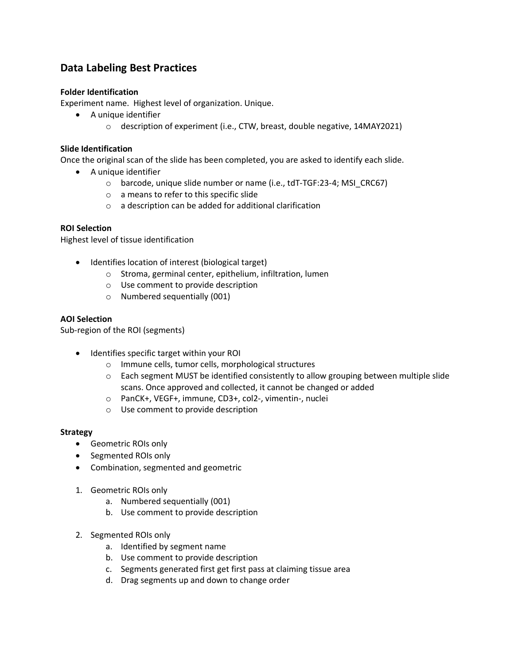# **Data Labeling Best Practices**

## **Folder Identification**

Experiment name. Highest level of organization. Unique.

- A unique identifier
	- $\circ$  description of experiment (i.e., CTW, breast, double negative, 14MAY2021)

### **Slide Identification**

Once the original scan of the slide has been completed, you are asked to identify each slide.

- A unique identifier
	- o barcode, unique slide number or name (i.e., tdT-TGF:23-4; MSI\_CRC67)
	- o a means to refer to this specific slide
	- o a description can be added for additional clarification

## **ROI Selection**

Highest level of tissue identification

- Identifies location of interest (biological target)
	- o Stroma, germinal center, epithelium, infiltration, lumen
	- o Use comment to provide description
	- o Numbered sequentially (001)

#### **AOI Selection**

Sub-region of the ROI (segments)

- Identifies specific target within your ROI
	- o Immune cells, tumor cells, morphological structures
	- $\circ$  Each segment MUST be identified consistently to allow grouping between multiple slide scans. Once approved and collected, it cannot be changed or added
	- o PanCK+, VEGF+, immune, CD3+, col2-, vimentin-, nuclei
	- o Use comment to provide description

#### **Strategy**

- Geometric ROIs only
- Segmented ROIs only
- Combination, segmented and geometric
- 1. Geometric ROIs only
	- a. Numbered sequentially (001)
	- b. Use comment to provide description
- 2. Segmented ROIs only
	- a. Identified by segment name
	- b. Use comment to provide description
	- c. Segments generated first get first pass at claiming tissue area
	- d. Drag segments up and down to change order